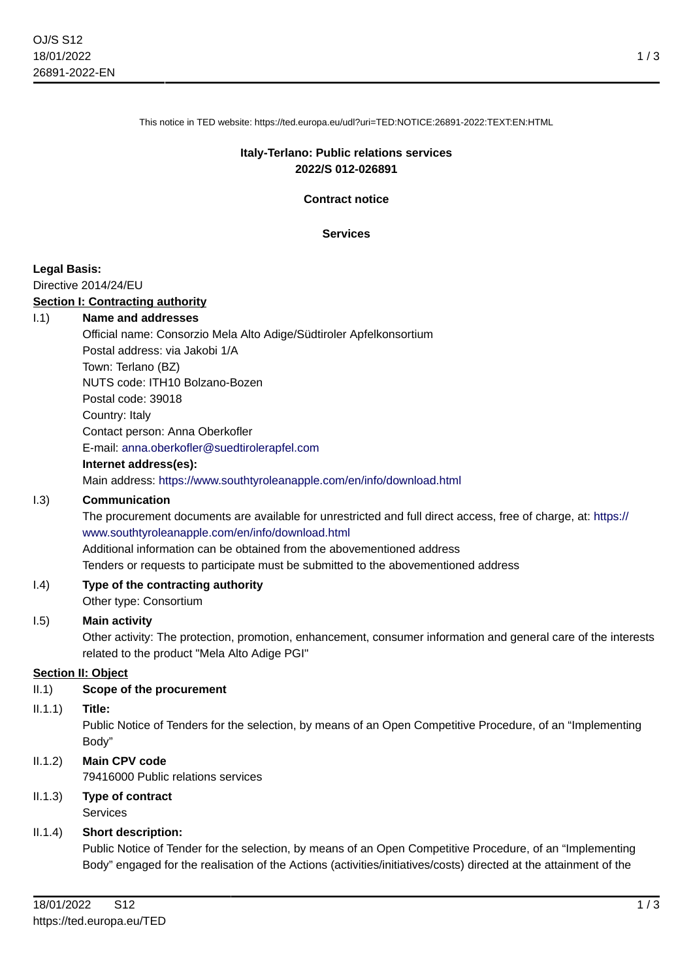This notice in TED website: https://ted.europa.eu/udl?uri=TED:NOTICE:26891-2022:TEXT:EN:HTML

### **Italy-Terlano: Public relations services 2022/S 012-026891**

**Contract notice**

**Services**

#### **Legal Basis:**

Directive 2014/24/EU

### **Section I: Contracting authority**

#### I.1) **Name and addresses**

Official name: Consorzio Mela Alto Adige/Südtiroler Apfelkonsortium Postal address: via Jakobi 1/A Town: Terlano (BZ) NUTS code: ITH10 Bolzano-Bozen Postal code: 39018 Country: Italy Contact person: Anna Oberkofler E-mail: [anna.oberkofler@suedtirolerapfel.com](mailto:anna.oberkofler@suedtirolerapfel.com) **Internet address(es):** Main address:<https://www.southtyroleanapple.com/en/info/download.html>

#### I.3) **Communication**

The procurement documents are available for unrestricted and full direct access, free of charge, at: [https://](https://www.southtyroleanapple.com/en/info/download.html) [www.southtyroleanapple.com/en/info/download.html](https://www.southtyroleanapple.com/en/info/download.html)

Additional information can be obtained from the abovementioned address

Tenders or requests to participate must be submitted to the abovementioned address

#### I.4) **Type of the contracting authority** Other type: Consortium

#### I.5) **Main activity**

Other activity: The protection, promotion, enhancement, consumer information and general care of the interests related to the product "Mela Alto Adige PGI"

#### **Section II: Object**

#### II.1) **Scope of the procurement**

II.1.1) **Title:**

Public Notice of Tenders for the selection, by means of an Open Competitive Procedure, of an "Implementing Body"

### II.1.2) **Main CPV code**

79416000 Public relations services

II.1.3) **Type of contract** Services

#### II.1.4) **Short description:**

Public Notice of Tender for the selection, by means of an Open Competitive Procedure, of an "Implementing Body" engaged for the realisation of the Actions (activities/initiatives/costs) directed at the attainment of the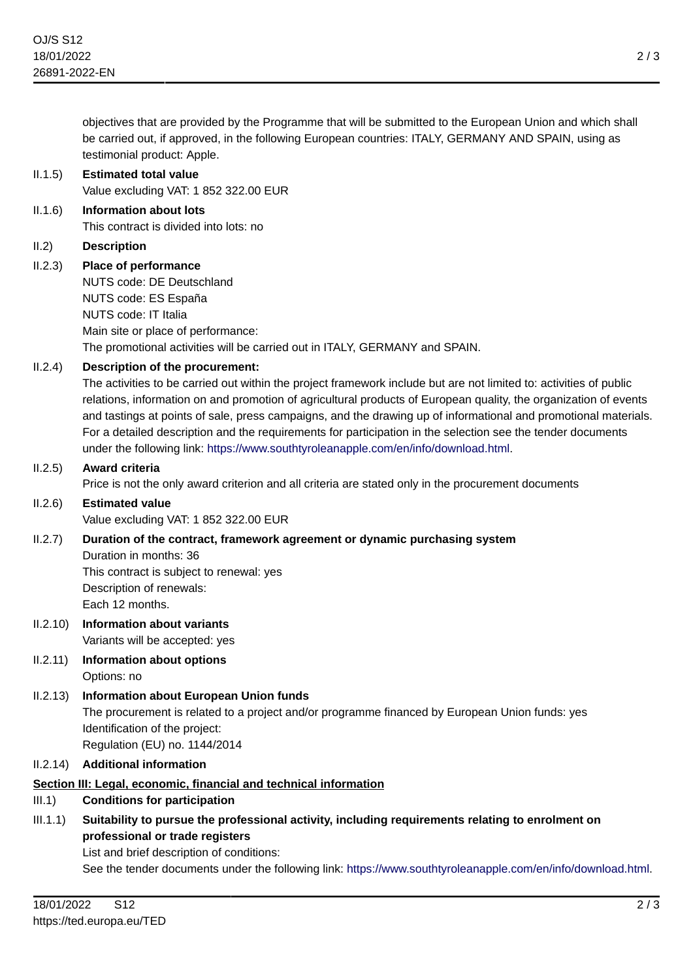objectives that are provided by the Programme that will be submitted to the European Union and which shall be carried out, if approved, in the following European countries: ITALY, GERMANY AND SPAIN, using as testimonial product: Apple.

# II.1.5) **Estimated total value**

Value excluding VAT: 1 852 322.00 EUR

II.1.6) **Information about lots** This contract is divided into lots: no

### II.2) **Description**

II.2.3) **Place of performance**

NUTS code: DE Deutschland NUTS code: ES España NUTS code: IT Italia Main site or place of performance: The promotional activities will be carried out in ITALY, GERMANY and SPAIN.

### II.2.4) **Description of the procurement:**

The activities to be carried out within the project framework include but are not limited to: activities of public relations, information on and promotion of agricultural products of European quality, the organization of events and tastings at points of sale, press campaigns, and the drawing up of informational and promotional materials. For a detailed description and the requirements for participation in the selection see the tender documents under the following link:<https://www.southtyroleanapple.com/en/info/download.html>.

#### II.2.5) **Award criteria**

Price is not the only award criterion and all criteria are stated only in the procurement documents

## II.2.6) **Estimated value**

Value excluding VAT: 1 852 322.00 EUR

### II.2.7) **Duration of the contract, framework agreement or dynamic purchasing system**

Duration in months: 36 This contract is subject to renewal: yes Description of renewals: Each 12 months.

- II.2.10) **Information about variants** Variants will be accepted: yes
- II.2.11) **Information about options** Options: no
- II.2.13) **Information about European Union funds** The procurement is related to a project and/or programme financed by European Union funds: yes Identification of the project: Regulation (EU) no. 1144/2014

#### II.2.14) **Additional information**

### **Section III: Legal, economic, financial and technical information**

### III.1) **Conditions for participation**

III.1.1) **Suitability to pursue the professional activity, including requirements relating to enrolment on professional or trade registers**

List and brief description of conditions:

See the tender documents under the following link:<https://www.southtyroleanapple.com/en/info/download.html>.